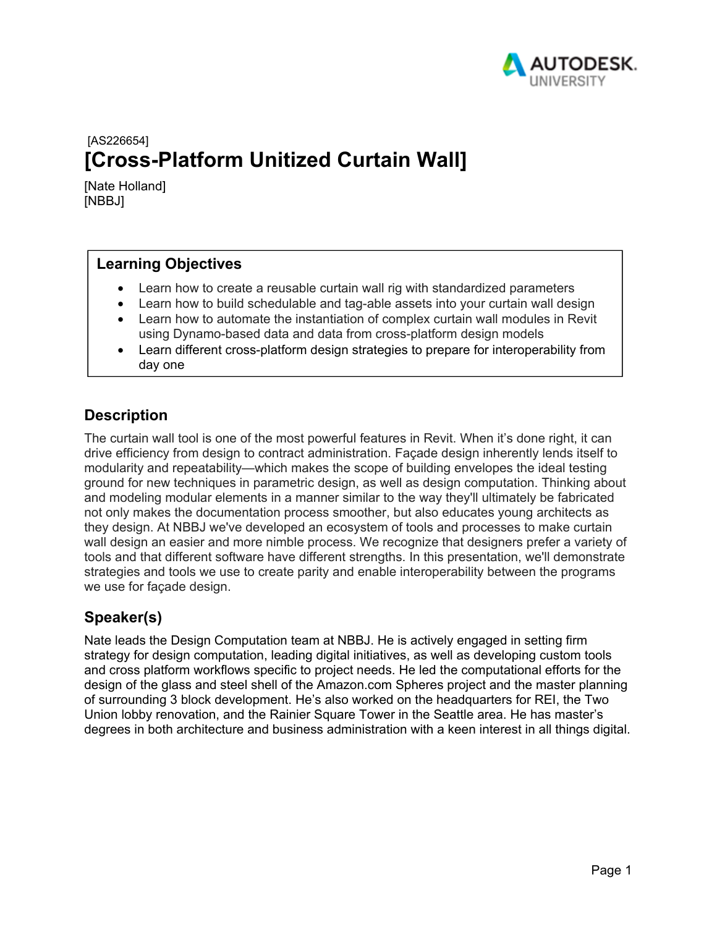

# [AS226654] **[Cross-Platform Unitized Curtain Wall]**

[Nate Holland] [NBBJ]

## **Learning Objectives**

- Learn how to create a reusable curtain wall rig with standardized parameters
- Learn how to build schedulable and tag-able assets into your curtain wall design
- Learn how to automate the instantiation of complex curtain wall modules in Revit using Dynamo-based data and data from cross-platform design models
- Learn different cross-platform design strategies to prepare for interoperability from day one

## **Description**

The curtain wall tool is one of the most powerful features in Revit. When it's done right, it can drive efficiency from design to contract administration. Façade design inherently lends itself to modularity and repeatability—which makes the scope of building envelopes the ideal testing ground for new techniques in parametric design, as well as design computation. Thinking about and modeling modular elements in a manner similar to the way they'll ultimately be fabricated not only makes the documentation process smoother, but also educates young architects as they design. At NBBJ we've developed an ecosystem of tools and processes to make curtain wall design an easier and more nimble process. We recognize that designers prefer a variety of tools and that different software have different strengths. In this presentation, we'll demonstrate strategies and tools we use to create parity and enable interoperability between the programs we use for façade design.

## **Speaker(s)**

Nate leads the Design Computation team at NBBJ. He is actively engaged in setting firm strategy for design computation, leading digital initiatives, as well as developing custom tools and cross platform workflows specific to project needs. He led the computational efforts for the design of the glass and steel shell of the Amazon.com Spheres project and the master planning of surrounding 3 block development. He's also worked on the headquarters for REI, the Two Union lobby renovation, and the Rainier Square Tower in the Seattle area. He has master's degrees in both architecture and business administration with a keen interest in all things digital.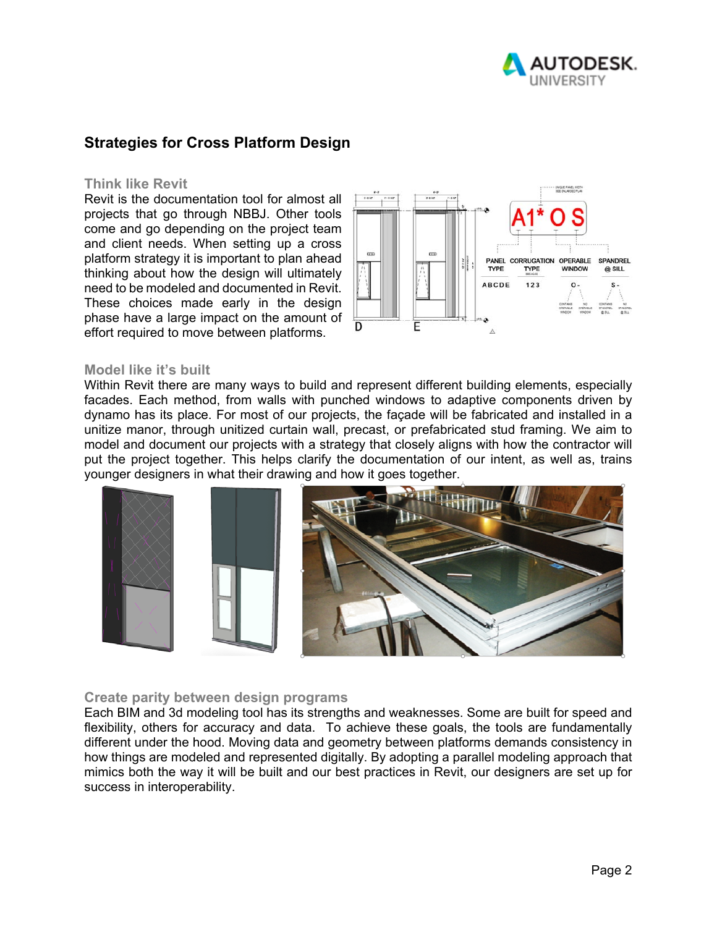

## **Strategies for Cross Platform Design**

#### **Think like Revit**

Revit is the documentation tool for almost all projects that go through NBBJ. Other tools come and go depending on the project team and client needs. When setting up a cross platform strategy it is important to plan ahead thinking about how the design will ultimately need to be modeled and documented in Revit. These choices made early in the design phase have a large impact on the amount of effort required to move between platforms.



#### **Model like it's built**

Within Revit there are many ways to build and represent different building elements, especially facades. Each method, from walls with punched windows to adaptive components driven by dynamo has its place. For most of our projects, the façade will be fabricated and installed in a unitize manor, through unitized curtain wall, precast, or prefabricated stud framing. We aim to model and document our projects with a strategy that closely aligns with how the contractor will put the project together. This helps clarify the documentation of our intent, as well as, trains younger designers in what their drawing and how it goes together.



#### **Create parity between design programs**

Each BIM and 3d modeling tool has its strengths and weaknesses. Some are built for speed and flexibility, others for accuracy and data. To achieve these goals, the tools are fundamentally different under the hood. Moving data and geometry between platforms demands consistency in how things are modeled and represented digitally. By adopting a parallel modeling approach that mimics both the way it will be built and our best practices in Revit, our designers are set up for success in interoperability.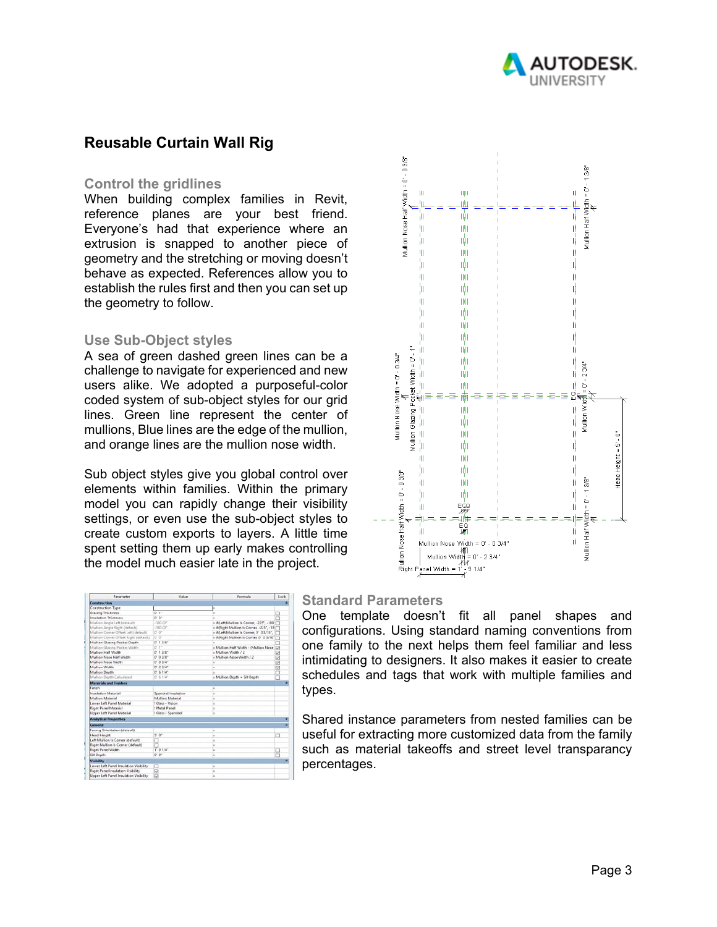

## **Reusable Curtain Wall Rig**

#### **Control the gridlines**

When building complex families in Revit, reference planes are your best friend. Everyone's had that experience where an extrusion is snapped to another piece of geometry and the stretching or moving doesn't behave as expected. References allow you to establish the rules first and then you can set up the geometry to follow.

#### **Use Sub-Object styles**

A sea of green dashed green lines can be a challenge to navigate for experienced and new users alike. We adopted a purposeful-color coded system of sub-object styles for our grid lines. Green line represent the center of mullions, Blue lines are the edge of the mullion, and orange lines are the mullion nose width.

Sub object styles give you global control over elements within families. Within the primary model you can rapidly change their visibility settings, or even use the sub-object styles to create custom exports to layers. A little time spent setting them up early makes controlling the model much easier late in the project.

| Mullion Nose Half Width = 0' - 0 3/8"<br>ĪJ.<br>μ<br>ψ<br>'n<br>ψ<br>þ<br>Φ<br>þ<br>Ŵ<br>þ<br>山<br>þ | IIJI I<br>Ш<br>带<br>血<br>ШI<br>$\hat{\boldsymbol{\psi}}$<br>IЩ<br>ıþ<br>ШI<br>咖<br>喞                                                                   | Mullion Half Width = 0' - 1 3/8"<br>M<br>Щ<br>牛叫<br>l<br>II<br>Ñ,<br>D<br>ı,<br>D<br>Th<br>ή |                       |
|------------------------------------------------------------------------------------------------------|--------------------------------------------------------------------------------------------------------------------------------------------------------|----------------------------------------------------------------------------------------------|-----------------------|
| Ш<br>١<br>í,<br>$\frac{4^{n}}{n}$                                                                    | Ŵ<br>咖<br>曲                                                                                                                                            | IÍ<br>Ŋ<br>$-23/4"$<br>II,                                                                   |                       |
| Mullion Glazing Pocket Width = 0' - 1"<br>Mullion Nose Width = 0' - 0 3/4"<br>川川<br>ψ<br>þ           | m<br>M<br>ШI<br>iģi                                                                                                                                    | $=-\frac{100}{\pi}$<br>Mullion Width = 0"<br>II.<br>ıļ                                       |                       |
| Ŵ<br>þ                                                                                               | ШĪ<br>ψ<br>ШI<br>喞<br>ده<br>پېړ                                                                                                                        | D<br>ıļ,<br>D<br>q<br>lli                                                                    | Head Height = 5' - 0" |
|                                                                                                      | io<br>M<br>0.3/4<br>Mullion Nose Width = 0' -<br> <br> Mullion Width<br>د   Mullion Width<br>$3/4$ "<br>  = 0' - 2<br> -<br> - 9 1/4"<br>2<br>1<br>$=$ | Mullion Half Width = 0' - 1 3/8"<br>É<br>ال<br>ا<br>ıl                                       |                       |

| Parameter                              | Value                     | Formula                                    | Lock       |
|----------------------------------------|---------------------------|--------------------------------------------|------------|
| <b>Construction</b>                    |                           |                                            |            |
| Construction Type                      |                           |                                            |            |
| Glazing Thickness                      | 0'1''                     |                                            |            |
| Insulation Thickness                   | $U$ if                    |                                            |            |
| Multims Angle Left (default)           | $-100.00^+$               | = if(Left Mullion Is Corner, -225°, -180)  |            |
| Mullion Angle Right (Sefault)          | $-580.00^{\circ}$         | - #(Right Mullion Is Corner, -225", -18 [" |            |
| Mullion Comer Offset Left (default)    | $0^{\circ}$ . $0^{\circ}$ | - If (Left Mullion Is Corner, 0' 0 3/16",  |            |
| Multion Comer Offset Right (default)   | or or                     | a #(Right Mullion Is Corner, 0' 0 3/16" "  |            |
| Mullion Glazing Pocket Depth           | $0'$ 1 3/8"               |                                            |            |
| Mullion Glazing Pocket Width           | $0'$ 1"                   | - Mullion Half Width - (Mullion Nose)      |            |
| Mullion Half Watth                     | $0'$ 1 $3/8$ <sup>*</sup> | $-$ Mullion Walth $/2$                     |            |
| Multine, Nose Half Width               | $O'$ $O$ $3/P'$           | - Mullion Nove Width / 2                   | <b>KON</b> |
| Mullion Nose Width                     | 0' 0 3/4"                 |                                            |            |
| Mullion Width                          | 0' 23/4''                 |                                            | Ē          |
| Mullion Depth                          | 0' 6 1/4''                |                                            |            |
| Mullion Depth Calculated               | $0' - 6$ $1/k^*$          | - Mullion Depth - Sill Depth               |            |
| <b>Materials and Finishes</b>          |                           |                                            | ×          |
| Finish                                 |                           |                                            |            |
| Inculation Material                    | Spandrel Insulation       |                                            |            |
| Mullion Material                       | Mullion Material          |                                            |            |
| Lower Left Panel Material              | 1 Glass - Vision          |                                            |            |
| <b>Right Panel Material</b>            | 1 Metal Panel             |                                            |            |
| <b>Upper Left Panel Material</b>       | 1 Glass - Spandrel        |                                            |            |
| <b>Analytical Properties</b>           |                           |                                            |            |
| General                                |                           |                                            | a.         |
| Facing Orientation (default)           |                           | u                                          |            |
| <b>Head Height</b>                     | $90^\circ$                | ×                                          |            |
| Left Mullion Is Corner (default)       |                           |                                            |            |
| Right Mullion Is Corner (default)      |                           |                                            |            |
| Right Panel Width                      | 1'91/4''                  | u                                          |            |
| Sill Depth                             | or or                     | ×                                          |            |
| <b>Visibility</b>                      |                           |                                            | ż          |
| Lower Left Panel Insulation Visibility |                           |                                            |            |
| Right Panel Insulation Visibility      | ₽                         |                                            |            |
| Upper Left Panel Insulation Visibility | R                         |                                            |            |

#### **Standard Parameters**

One template doesn't fit all panel shapes and configurations. Using standard naming conventions from one family to the next helps them feel familiar and less intimidating to designers. It also makes it easier to create schedules and tags that work with multiple families and types.

Shared instance parameters from nested families can be useful for extracting more customized data from the family such as material takeoffs and street level transparancy percentages.